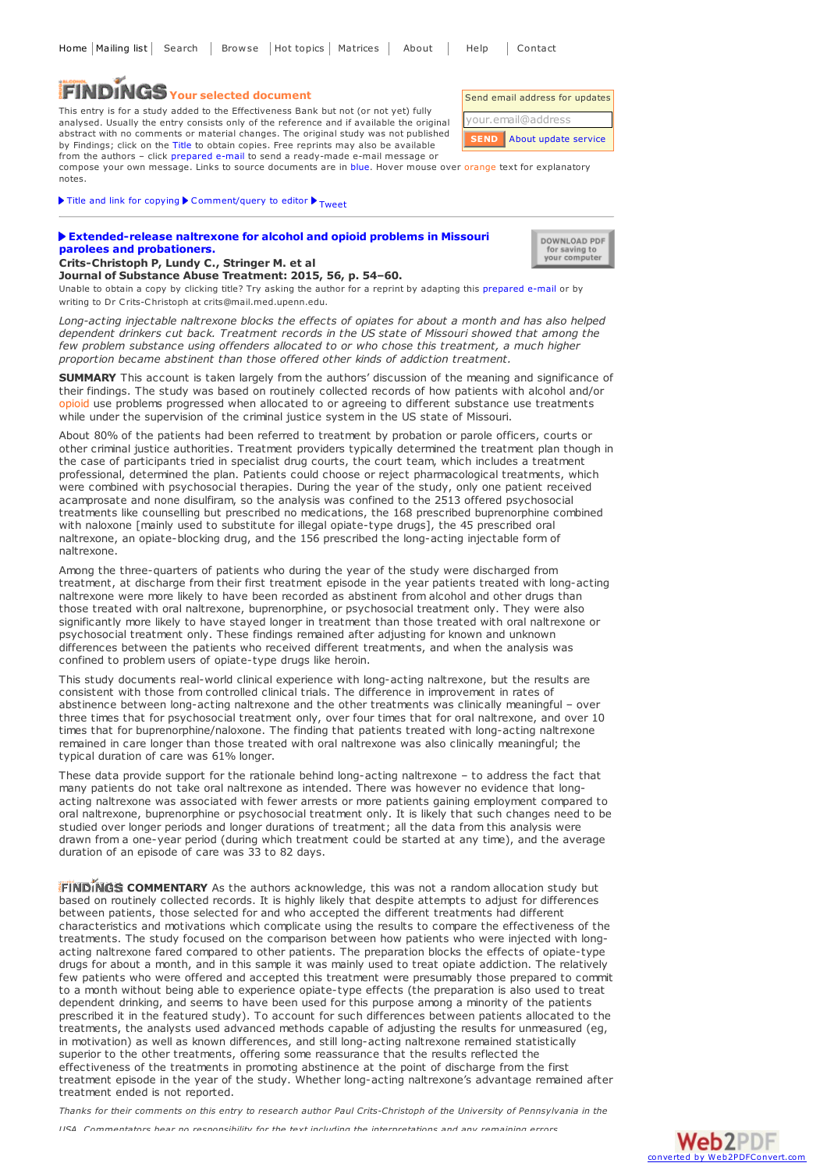## **Your selected document**

This entry is for a study added to the Effectiveness Bank but not (or not yet) fully analysed. Usually the entry consists only of the reference and if available the original abstract with no comments or material changes. The original study was not published by Findings; click on the Title to obtain copies. Free reprints may also be available from the authors – click prepared e-mail to send a ready-made e-mail message or

compose your own message. Links to source documents are in blue. Hover mouse over orange text for explanatory notes.

Title and link for [copying](javascript:;)  $\triangleright$  [Comment/query](mailto:editor@findings.org.uk?Subject=Findings entry: Extended-release naltrexone for alcohol and opioid problems in Missouri parolees and probationers&body=Dear Editor%0A%0ARegarding the Findings document:%0AExtended-release naltrexone for alcohol and opioid problems in Missouri parolees and probationers%0Aat:%0Ahttps://findings.org.uk/PHP/dl.php?file=Crits_Christoph_P_17.abs%0A%0AI would appreciate your response to this comment/query:%0A[Enter your comment/query here]) to editor  $\triangleright$  <sub>[Tweet](https://twitter.com/share)</sub>

## **[Extended-release](http://dx.doi.org/10.1016/j.jsat.2015.03.003) naltrexone for alcohol and opioid problems in Missouri parolees and probationers.**

| DOWNLOAD PDF  |
|---------------|
| for saving to |
| your computer |

Send email address for updates your.email@address

**SEND**

About update [service](https://findings.org.uk/mailing_list.php)

**Crits-Christoph P, Lundy C., Stringer M. et al Journal of Substance Abuse Treatment: 2015, 56, p. 54–60.**

Unable to obtain a copy by clicking title? Try asking the author for a reprint by adapting this [prepared](mailto:crits@mail.med.upenn.edu?Subject=Reprint request&body=Dear Dr Crits-Christoph%0A%0AOn the Drug and Alcohol Findings web site (https://findings.org.uk) I read about your article:%0ACrits-Christoph P, Lundy C., Stringer M. et al Extended-release naltrexone for alcohol and opioid problems in Missouri parolees and probationers. Journal of Substance Abuse Treatment: 2015, 56, p. 54-60.%0A%0AWould it be possible to for me to be sent a PDF reprint or the manuscript by replying to this e-mail?%0A) e-mail or by writing to Dr Crits-Christoph at crits@mail.med.upenn.edu.

*Long-acting injectable naltrexone blocks the effects of opiates for about a month and has also helped dependent drinkers cut back. Treatment records in the US state of Missouri showed that among the few problem substance using offenders allocated to or who chose this treatment, a much higher proportion became abstinent than those offered other kinds of addiction treatment.*

**SUMMARY** This account is taken largely from the authors' discussion of the meaning and significance of their findings. The study was based on routinely collected records of how patients with alcohol and/or opioid use problems progressed when allocated to or agreeing to different substance use treatments while under the supervision of the criminal justice system in the US state of Missouri.

About 80% of the patients had been referred to treatment by probation or parole officers, courts or other criminal justice authorities. Treatment providers typically determined the treatment plan though in the case of participants tried in specialist drug courts, the court team, which includes a treatment professional, determined the plan. Patients could choose or reject pharmacological treatments, which were combined with psychosocial therapies. During the year of the study, only one patient received acamprosate and none disulfiram, so the analysis was confined to the 2513 offered psychosocial treatments like counselling but prescribed no medications, the 168 prescribed buprenorphine combined with naloxone [mainly used to substitute for illegal opiate-type drugs], the 45 prescribed oral naltrexone, an opiate-blocking drug, and the 156 prescribed the long-acting injectable form of naltrexone.

Among the three-quarters of patients who during the year of the study were discharged from treatment, at discharge from their first treatment episode in the year patients treated with long-acting naltrexone were more likely to have been recorded as abstinent from alcohol and other drugs than those treated with oral naltrexone, buprenorphine, or psychosocial treatment only. They were also significantly more likely to have stayed longer in treatment than those treated with oral naltrexone or psychosocial treatment only. These findings remained after adjusting for known and unknown differences between the patients who received different treatments, and when the analysis was confined to problem users of opiate-type drugs like heroin.

This study documents real-world clinical experience with long-acting naltrexone, but the results are consistent with those from controlled clinical trials. The difference in improvement in rates of abstinence between long-acting naltrexone and the other treatments was clinically meaningful – over three times that for psychosocial treatment only, over four times that for oral naltrexone, and over 10 times that for buprenorphine/naloxone. The finding that patients treated with long-acting naltrexone remained in care longer than those treated with oral naltrexone was also clinically meaningful; the typical duration of care was 61% longer.

These data provide support for the rationale behind long-acting naltrexone – to address the fact that many patients do not take oral naltrexone as intended. There was however no evidence that longacting naltrexone was associated with fewer arrests or more patients gaining employment compared to oral naltrexone, buprenorphine or psychosocial treatment only. It is likely that such changes need to be studied over longer periods and longer durations of treatment; all the data from this analysis were drawn from a one-year period (during which treatment could be started at any time), and the average duration of an episode of care was 33 to 82 days.

**FINDINGS COMMENTARY** As the authors acknowledge, this was not a random allocation study but based on routinely collected records. It is highly likely that despite attempts to adjust for differences between patients, those selected for and who accepted the different treatments had different characteristics and motivations which complicate using the results to compare the effectiveness of the treatments. The study focused on the comparison between how patients who were injected with longacting naltrexone fared compared to other patients. The preparation blocks the effects of opiate-type drugs for about a month, and in this sample it was mainly used to treat opiate addiction. The relatively few patients who were offered and accepted this treatment were presumably those prepared to commit to a month without being able to experience opiate-type effects (the preparation is also used to treat dependent drinking, and seems to have been used for this purpose among a minority of the patients prescribed it in the featured study). To account for such differences between patients allocated to the treatments, the analysts used advanced methods capable of adjusting the results for unmeasured (eg, in motivation) as well as known differences, and still long-acting naltrexone remained statistically superior to the other treatments, offering some reassurance that the results reflected the effectiveness of the treatments in promoting abstinence at the point of discharge from the first treatment episode in the year of the study. Whether long-acting naltrexone's advantage remained after treatment ended is not reported.

Thanks for their comments on this entry to research author Paul Crits-Christoph of the University of Pennsylvania in the *USA. Commentators bear no responsibility for the text including the interpretations and any remaining errors.*